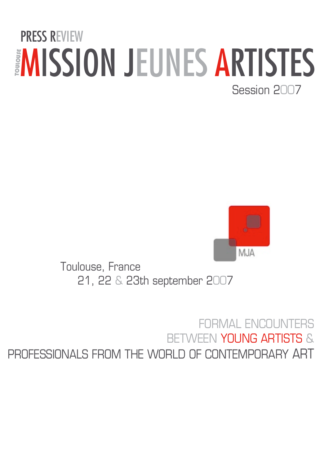### EMISSION JEUNES ARTISTES Session 2007 PRESS REVIEW



Toulouse, France 21, 22 & 23th september 2007

#### FORMAL ENCOUNT BETWEEN YOUNG ARTISTS & PROFESSIONALS FROM THE WORLD OF CONTEMPORARY ART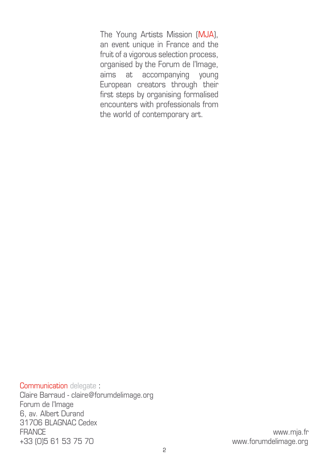The Young Artists Mission (MJA), an event unique in France and the fruit of a vigorous selection process, organised by the Forum de l'Image, aims at accompanying young European creators through their first steps by organising formalised encounters with professionals from the world of contemporary art.

Communication delegate : Claire Barraud - claire@forumdelimage.org Forum de l'Image 6, av. Albert Durand 31706 BLAGNAC Cedex FRANCE www.mja.fr +33 (0)5 61 53 75 70 www.forumdelimage.org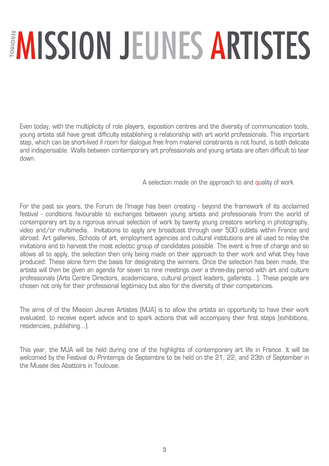# EMISSION JEUNES ARTISTES

Even today, with the multiplicity of role players, exposition centres and the diversity of communication tools, young artists still have great difficulty establishing a relationship with art world professionals. This important step, which can be short-lived if room for dialogue free from materiel constraints is not found, is both delicate and indispensable. Walls between contemporary art professionals and young artists are often difficult to tear down.

A selection made on the approach to and quality of work

For the past six years, the Forum de l'Image has been creating - beyond the framework of its acclaimed festival - conditions favourable to exchanges between young artists and professionals from the world of contemporary art by a rigorous annual selection of work by twenty young creators working in photography, video and/or multimedia. Invitations to apply are broadcast through over 500 outlets within France and abroad. Art galleries, Schools of art, employment agencies and cultural institutions are all used to relay the invitations and to harvest the most eclectic group of candidates possible. The event is free of charge and so allows all to apply, the selection then only being made on their approach to their work and what they have produced. These alone form the basis for designating the winners. Once the selection has been made, the artists will then be given an agenda for seven to nine meetings over a three-day period with art and culture professionals (Arts Centre Directors, academicians, cultural project leaders, gallerists…). These people are chosen not only for their professional legitimacy but also for the diversity of their competences.

The aims of of the Mission Jeunes Artistes (MJA) is to allow the artists an opportunity to have their work evaluated, to receive expert advice and to spark actions that will accompany their first steps (exhibitions, residencies, publishing…).

This year, the MJA will be held during one of the highlights of contemporary art life in France. It will be welcomed by the Festival du Printemps de Septembre to be held on the 21, 22, and 23th of September in the Musée des Abattoirs in Toulouse.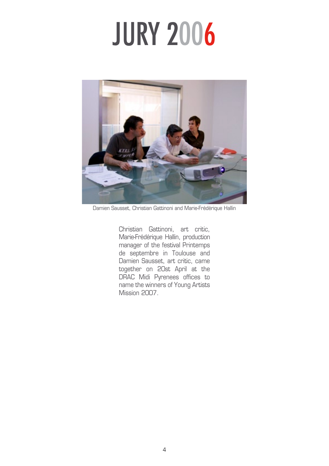## JURY 2006



Damien Sausset, Christian Gattinoni and Marie-Frédérique Hallin

Christian Gattinoni, art critic, Marie-Frédérique Hallin, production manager of the festival Printemps de septembre in Toulouse and Damien Sausset, art critic, came together on 20st April at the DRAC Midi Pyrenees offices to name the winners of Young Artists Mission 2007.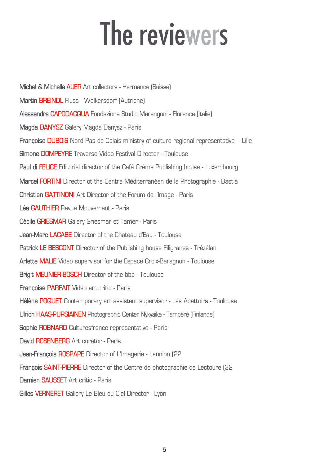## The reviewers

**Michel & Michelle AUER** Art collectors - Hermance (Suisse) **Martin BREINDL** Fluss - Wolkersdorf (Autriche) **Alessandra CAPODACQUA** Fondazione Studio Marangoni - Florence (Italie) **Magda DANYSZ** Galery Magda Danysz - Paris **Françoise DUBOIS** Nord Pas de Calais ministry of culture regional representative - Lille **Simone DOMPEYRE** Traverse Video Festival Director - Toulouse **Paul di FELICE** Editorial director of the Café Crème Publishing house - Luxembourg **Marcel FORTINI** Director ot the Centre Méditerranéen de la Photographie - Bastia **Christian GATTINONI** Art Director of the Forum de l'Image - Paris **Léa GAUTHIER** Revue Mouvement - Paris **Cécile GRIESMAR** Galery Griesmar et Tamer - Paris **Jean-Marc LACABE** Director of the Chateau d'Eau - Toulouse **Patrick LE BESCONT** Director of the Publishing house Filigranes - Trézélan **Arlette MALIE** Video supervisor for the Espace Croix-Baragnon - Toulouse **Brigit MEUNIER-BOSCH** Director of the bbb - Toulouse **Françoise PARFAIT** Vidéo art critic - Paris **Hélène POQUET** Contemporary art assistant supervisor - Les Abattoirs - Toulouse **Ulrich HAAS-PURSIAINEN** Photographic Center Nykyaika - Tampéré (Finlande) **Sophie ROBNARD** Culturesfrance representative - Paris **David ROSENBERG** Art curator - Paris **Jean-François ROSPAPE** Director of L'Imagerie - Lannion (22 **François SAINT-PIERRE** Director of the Centre de photographie de Lectoure (32 **Damien SAUSSET** Art critic - Paris **Gilles VERNERET** Gallery Le Bleu du Ciel Director - Lyon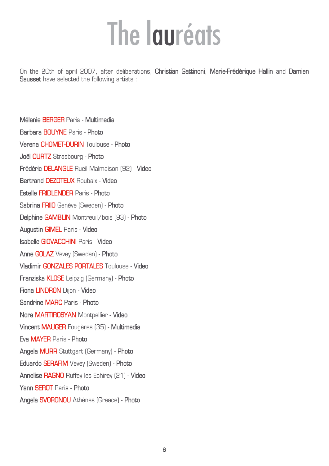## The lauréats

On the 20th of april 2007, after deliberations, **Christian Gattinoni**, **Marie-Frédérique Hallin** and **Damien Sausset** have selected the following artists :

**Mélanie BERGER** Paris - **Multimedia Barbara BOUYNE** Paris - **Photo Verena CHOMET-DURIN** Toulouse - **Photo Joël CURTZ** Strasbourg - **Photo Frédéric DELANGLE** Rueil Malmaison (92) - **Video Bertrand DEZOTEUX** Roubaix - **Video Estelle FRIDLENDER** Paris - **Photo Sabrina FRIIO** Genève (Sweden) - **Photo Delphine GAMBLIN** Montreuil/bois (93) - **Photo Augustin GIMEL** Paris - **Video Isabelle GIOVACCHINI** Paris - **Video Anne GOLAZ** Vevey (Sweden) - **Photo Vladimir GONZALES PORTALES** Toulouse - **Video Franziska KLOSE** Leipzig (Germany) - **Photo Fiona LINDRON** Dijon - **Video Sandrine MARC** Paris - **Photo Nora MARTIROSYAN** Montpellier - **Video Vincent MAUGER** Fougères (35) - **Multimedia Eva MAYER** Paris - **Photo Angela MURR** Stuttgart (Germany) - **Photo Eduardo SERAFIM** Vevey (Sweden) - **Photo Annelise RAGNO** Ruffey les Echirey (21) - **Video Yann SEROT** Paris - **Photo Angela SVORONOU** Athènes (Greace) - **Photo**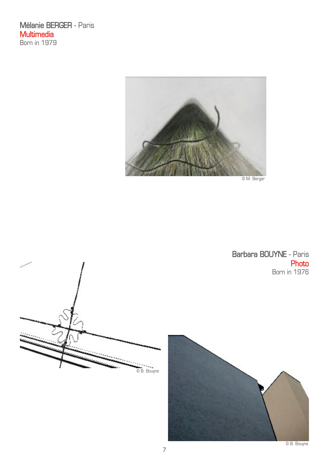**Mélanie BERGER** - Paris **Multimedia** Born in 1979



© M. Berger



**Barbara BOUYNE** - Paris **Photo** Born in 1976

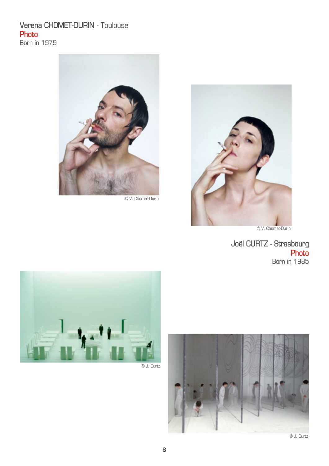#### **Verena CHOMET-DURIN** - Toulouse **Photo**

Born in 1979



© V. Chomet-Durin



© V. Chomet-Durin

**Joël CURTZ - Strasbourg Photo** Born in 1985



© J. Curtz

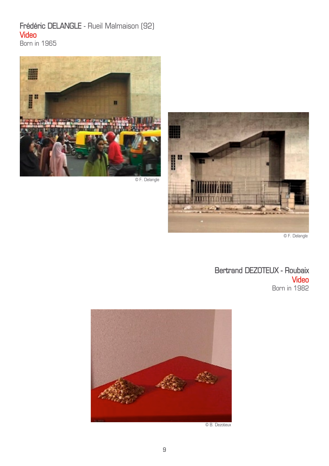#### **Frédéric DELANGLE** - Rueil Malmaison (92) **Video**

Born in 1965



© F. Delangle



© F. Delangle

**Bertrand DEZOTEUX - Roubaix Video** Born in 1982



© B. Dezoteux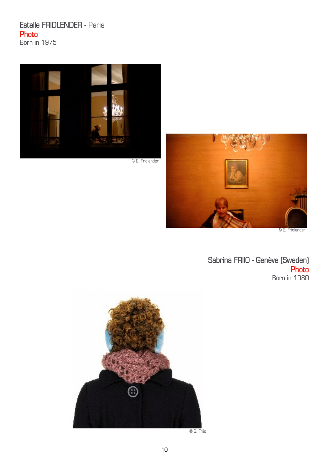#### **Estelle FRIDLENDER** - Paris **Photo**

Born in 1975



© E. Fridlender



© E. Fridlender

**Sabrina FRIIO - Genève (Sweden) Photo** Born in 1980



© S. Friio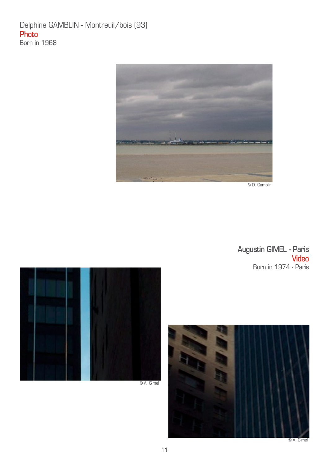#### Delphine GAMBLIN - Montreuil/bois (93) **Photo** Born in 1968



© D. Gamblin

#### **Augustin GIMEL - Paris Video** Born in 1974 - Paris





© A. Gimel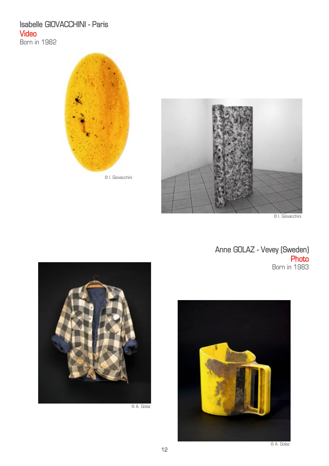#### **Isabelle GIOVACCHINI - Paris Video**

Born in 1982





© I. Giovacchini

**Anne GOLAZ - Vevey (Sweden) Photo** Born in 1983



© A. Golaz



© A. Golaz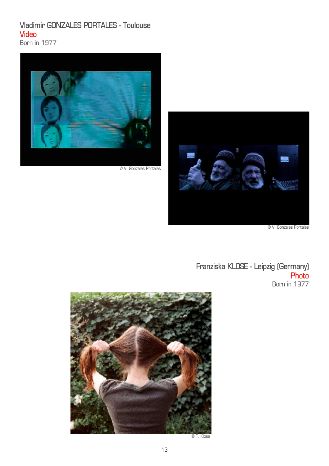#### **Vladimir GONZALES PORTALES - Toulouse Video**

Born in 1977



© V. Gonzales Portales



**Franziska KLOSE - Leipzig (Germany) Photo** Born in 1977



© F. Klose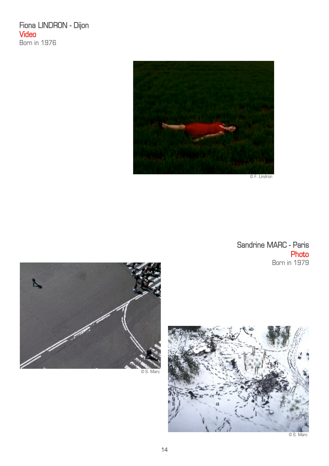**Fiona LINDRON - Dijon Video** Born in 1976



**Sandrine MARC - Paris Photo** Born in 1979



© S. Marc

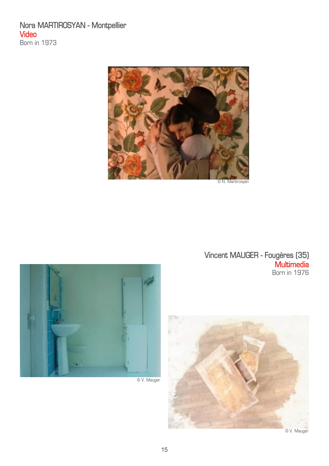#### **Nora MARTIROSYAN - Montpellier Video** Born in 1973





© V. Mauger

**Vincent MAUGER - Fougères (35) Multimedia** Born in 1976

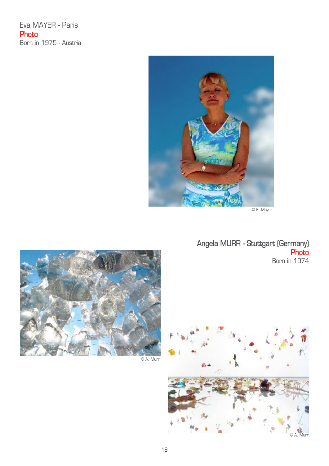Eva MAYER - Paris **Photo** Born in 1975 - Austria



© E. Mayer

**Angela MURR - Stuttgart (Germany) Photo** Born in 1974



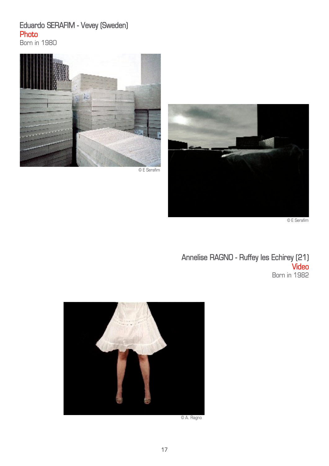#### **Eduardo SERAFIM - Vevey (Sweden) Photo**

Born in 1980



© E Serafim



© E Serafim

**Annelise RAGNO - Ruffey les Echirey (21) Video** Born in 1982



© A. Ragno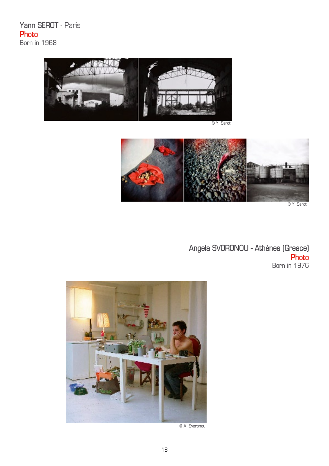**Yann SEROT** - Paris **Photo** Born in 1968



© Y. Serot



© Y. Serot

**Angela SVORONOU - Athènes (Greace) Photo** Born in 1976



© A. Svoronou